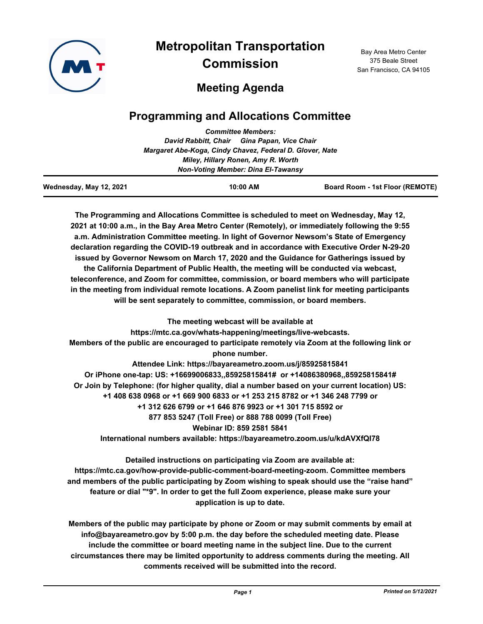

# **Metropolitan Transportation Commission**

Bay Area Metro Center 375 Beale Street San Francisco, CA 94105

## **Meeting Agenda**

### **Programming and Allocations Committee**

| Wednesday, May 12, 2021                   |                                                          | 10:00 AM                  | <b>Board Room - 1st Floor (REMOTE)</b> |  |  |
|-------------------------------------------|----------------------------------------------------------|---------------------------|----------------------------------------|--|--|
| <b>Non-Voting Member: Dina El-Tawansy</b> |                                                          |                           |                                        |  |  |
|                                           | Miley, Hillary Ronen, Amy R. Worth                       |                           |                                        |  |  |
|                                           | Margaret Abe-Koga, Cindy Chavez, Federal D. Glover, Nate |                           |                                        |  |  |
|                                           | David Rabbitt, Chair Gina Papan, Vice Chair              |                           |                                        |  |  |
|                                           |                                                          | <b>Committee Members:</b> |                                        |  |  |

**The Programming and Allocations Committee is scheduled to meet on Wednesday, May 12, 2021 at 10:00 a.m., in the Bay Area Metro Center (Remotely), or immediately following the 9:55 a.m. Administration Committee meeting. In light of Governor Newsom's State of Emergency declaration regarding the COVID-19 outbreak and in accordance with Executive Order N-29-20 issued by Governor Newsom on March 17, 2020 and the Guidance for Gatherings issued by the California Department of Public Health, the meeting will be conducted via webcast, teleconference, and Zoom for committee, commission, or board members who will participate in the meeting from individual remote locations. A Zoom panelist link for meeting participants will be sent separately to committee, commission, or board members.**

**The meeting webcast will be available at https://mtc.ca.gov/whats-happening/meetings/live-webcasts. Members of the public are encouraged to participate remotely via Zoom at the following link or phone number. Attendee Link: https://bayareametro.zoom.us/j/85925815841 Or iPhone one-tap: US: +16699006833,,85925815841# or +14086380968,,85925815841# Or Join by Telephone: (for higher quality, dial a number based on your current location) US: +1 408 638 0968 or +1 669 900 6833 or +1 253 215 8782 or +1 346 248 7799 or +1 312 626 6799 or +1 646 876 9923 or +1 301 715 8592 or 877 853 5247 (Toll Free) or 888 788 0099 (Toll Free) Webinar ID: 859 2581 5841 International numbers available: https://bayareametro.zoom.us/u/kdAVXfQI78**

**Detailed instructions on participating via Zoom are available at: https://mtc.ca.gov/how-provide-public-comment-board-meeting-zoom. Committee members and members of the public participating by Zoom wishing to speak should use the "raise hand" feature or dial "\*9". In order to get the full Zoom experience, please make sure your application is up to date.**

**Members of the public may participate by phone or Zoom or may submit comments by email at info@bayareametro.gov by 5:00 p.m. the day before the scheduled meeting date. Please include the committee or board meeting name in the subject line. Due to the current circumstances there may be limited opportunity to address comments during the meeting. All comments received will be submitted into the record.**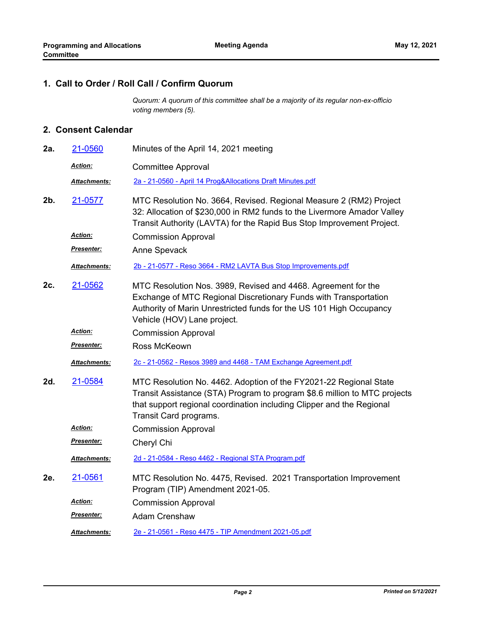#### **1. Call to Order / Roll Call / Confirm Quorum**

*Quorum: A quorum of this committee shall be a majority of its regular non-ex-officio voting members (5).*

#### **2. Consent Calendar**

| 2a. | 21-0560              | Minutes of the April 14, 2021 meeting                                                                                                                                                                                                             |  |
|-----|----------------------|---------------------------------------------------------------------------------------------------------------------------------------------------------------------------------------------------------------------------------------------------|--|
|     | <u> Action:</u>      | <b>Committee Approval</b>                                                                                                                                                                                                                         |  |
|     | <b>Attachments:</b>  | 2a - 21-0560 - April 14 Prog&Allocations Draft Minutes.pdf                                                                                                                                                                                        |  |
| 2b. | 21-0577              | MTC Resolution No. 3664, Revised. Regional Measure 2 (RM2) Project<br>32: Allocation of \$230,000 in RM2 funds to the Livermore Amador Valley<br>Transit Authority (LAVTA) for the Rapid Bus Stop Improvement Project.                            |  |
|     | <u>Action:</u>       | <b>Commission Approval</b>                                                                                                                                                                                                                        |  |
|     | <u>Presenter:</u>    | Anne Spevack                                                                                                                                                                                                                                      |  |
|     | <u> Attachments:</u> | 2b - 21-0577 - Reso 3664 - RM2 LAVTA Bus Stop Improvements.pdf                                                                                                                                                                                    |  |
| 2c. | 21-0562              | MTC Resolution Nos. 3989, Revised and 4468. Agreement for the<br>Exchange of MTC Regional Discretionary Funds with Transportation<br>Authority of Marin Unrestricted funds for the US 101 High Occupancy<br>Vehicle (HOV) Lane project.           |  |
|     | <u>Action:</u>       | <b>Commission Approval</b>                                                                                                                                                                                                                        |  |
|     | <u>Presenter:</u>    | Ross McKeown                                                                                                                                                                                                                                      |  |
|     | Attachments:         | 2c - 21-0562 - Resos 3989 and 4468 - TAM Exchange Agreement.pdf                                                                                                                                                                                   |  |
| 2d. | 21-0584              | MTC Resolution No. 4462. Adoption of the FY2021-22 Regional State<br>Transit Assistance (STA) Program to program \$8.6 million to MTC projects<br>that support regional coordination including Clipper and the Regional<br>Transit Card programs. |  |
|     | <u>Action:</u>       | <b>Commission Approval</b>                                                                                                                                                                                                                        |  |
|     | <u>Presenter:</u>    | Cheryl Chi                                                                                                                                                                                                                                        |  |
|     | <b>Attachments:</b>  | 2d - 21-0584 - Reso 4462 - Regional STA Program.pdf                                                                                                                                                                                               |  |
| 2e. | 21-0561              | MTC Resolution No. 4475, Revised. 2021 Transportation Improvement<br>Program (TIP) Amendment 2021-05.                                                                                                                                             |  |
|     | <u>Action:</u>       | <b>Commission Approval</b>                                                                                                                                                                                                                        |  |
|     | Presenter:           | <b>Adam Crenshaw</b>                                                                                                                                                                                                                              |  |
|     | <u> Attachments:</u> | 2e - 21-0561 - Reso 4475 - TIP Amendment 2021-05.pdf                                                                                                                                                                                              |  |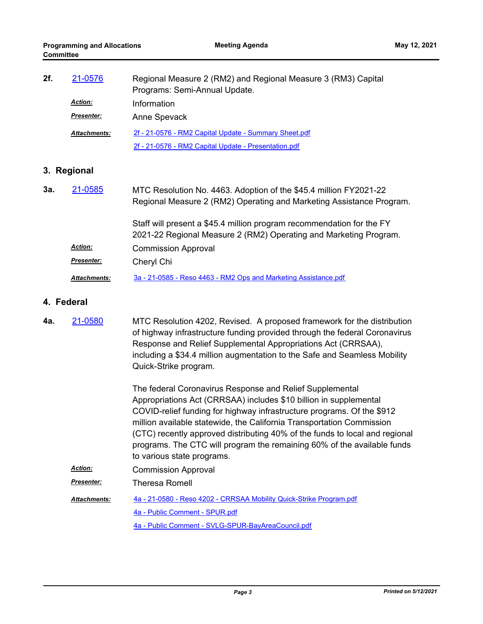| 2f. | 21-0576           | Regional Measure 2 (RM2) and Regional Measure 3 (RM3) Capital<br>Programs: Semi-Annual Update.                                                                                                                                                                                                                                                                                                                                                                           |  |
|-----|-------------------|--------------------------------------------------------------------------------------------------------------------------------------------------------------------------------------------------------------------------------------------------------------------------------------------------------------------------------------------------------------------------------------------------------------------------------------------------------------------------|--|
|     | Action:           | Information                                                                                                                                                                                                                                                                                                                                                                                                                                                              |  |
|     | <b>Presenter:</b> | Anne Spevack                                                                                                                                                                                                                                                                                                                                                                                                                                                             |  |
|     | Attachments:      | 2f - 21-0576 - RM2 Capital Update - Summary Sheet.pdf                                                                                                                                                                                                                                                                                                                                                                                                                    |  |
|     |                   | 2f - 21-0576 - RM2 Capital Update - Presentation.pdf                                                                                                                                                                                                                                                                                                                                                                                                                     |  |
|     | 3. Regional       |                                                                                                                                                                                                                                                                                                                                                                                                                                                                          |  |
| За. | 21-0585           | MTC Resolution No. 4463. Adoption of the \$45.4 million FY2021-22<br>Regional Measure 2 (RM2) Operating and Marketing Assistance Program.                                                                                                                                                                                                                                                                                                                                |  |
|     |                   | Staff will present a \$45.4 million program recommendation for the FY<br>2021-22 Regional Measure 2 (RM2) Operating and Marketing Program.                                                                                                                                                                                                                                                                                                                               |  |
|     | Action:           | <b>Commission Approval</b>                                                                                                                                                                                                                                                                                                                                                                                                                                               |  |
|     | <u>Presenter:</u> | Cheryl Chi                                                                                                                                                                                                                                                                                                                                                                                                                                                               |  |
|     | Attachments:      | 3a - 21-0585 - Reso 4463 - RM2 Ops and Marketing Assistance.pdf                                                                                                                                                                                                                                                                                                                                                                                                          |  |
|     | 4. Federal        |                                                                                                                                                                                                                                                                                                                                                                                                                                                                          |  |
| 4а. | 21-0580           | MTC Resolution 4202, Revised. A proposed framework for the distribution<br>of highway infrastructure funding provided through the federal Coronavirus<br>Response and Relief Supplemental Appropriations Act (CRRSAA),<br>including a \$34.4 million augmentation to the Safe and Seamless Mobility<br>Quick-Strike program.                                                                                                                                             |  |
|     |                   | The federal Coronavirus Response and Relief Supplemental<br>Appropriations Act (CRRSAA) includes \$10 billion in supplemental<br>COVID-relief funding for highway infrastructure programs. Of the \$912<br>million available statewide, the California Transportation Commission<br>(CTC) recently approved distributing 40% of the funds to local and regional<br>programs. The CTC will program the remaining 60% of the available funds<br>to various state programs. |  |
|     | Action:           | <b>Commission Approval</b>                                                                                                                                                                                                                                                                                                                                                                                                                                               |  |
|     | Presenter:        | <b>Theresa Romell</b>                                                                                                                                                                                                                                                                                                                                                                                                                                                    |  |
|     | Attachments:      | 4a - 21-0580 - Reso 4202 - CRRSAA Mobility Quick-Strike Program.pdf                                                                                                                                                                                                                                                                                                                                                                                                      |  |
|     |                   | 4a - Public Comment - SPUR.pdf                                                                                                                                                                                                                                                                                                                                                                                                                                           |  |
|     |                   | 4a - Public Comment - SVLG-SPUR-BayAreaCouncil.pdf                                                                                                                                                                                                                                                                                                                                                                                                                       |  |
|     |                   |                                                                                                                                                                                                                                                                                                                                                                                                                                                                          |  |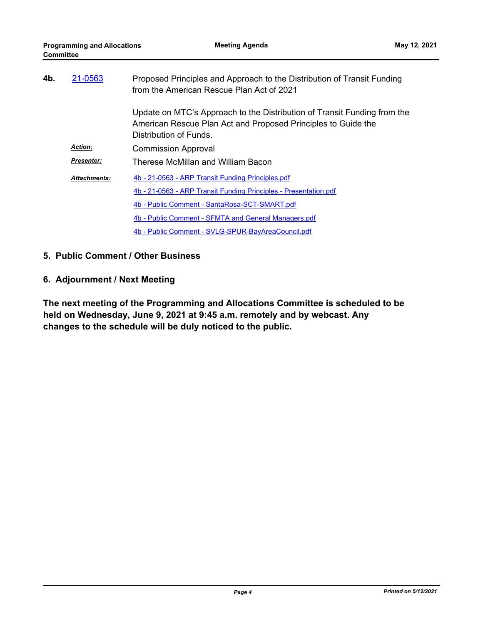| 4b. | 21-0563             | Proposed Principles and Approach to the Distribution of Transit Funding<br>from the American Rescue Plan Act of 2021                                               |  |
|-----|---------------------|--------------------------------------------------------------------------------------------------------------------------------------------------------------------|--|
|     |                     | Update on MTC's Approach to the Distribution of Transit Funding from the<br>American Rescue Plan Act and Proposed Principles to Guide the<br>Distribution of Funds |  |
|     | <b>Action:</b>      | <b>Commission Approval</b>                                                                                                                                         |  |
|     | <b>Presenter:</b>   | Therese McMillan and William Bacon                                                                                                                                 |  |
|     | <b>Attachments:</b> | 4b - 21-0563 - ARP Transit Funding Principles.pdf                                                                                                                  |  |
|     |                     | 4b - 21-0563 - ARP Transit Funding Principles - Presentation.pdf                                                                                                   |  |
|     |                     | 4b - Public Comment - SantaRosa-SCT-SMART.pdf                                                                                                                      |  |
|     |                     | 4b - Public Comment - SFMTA and General Managers.pdf                                                                                                               |  |
|     |                     | 4b - Public Comment - SVLG-SPUR-BayAreaCouncil.pdf                                                                                                                 |  |

- **5. Public Comment / Other Business**
- **6. Adjournment / Next Meeting**

**The next meeting of the Programming and Allocations Committee is scheduled to be held on Wednesday, June 9, 2021 at 9:45 a.m. remotely and by webcast. Any changes to the schedule will be duly noticed to the public.**